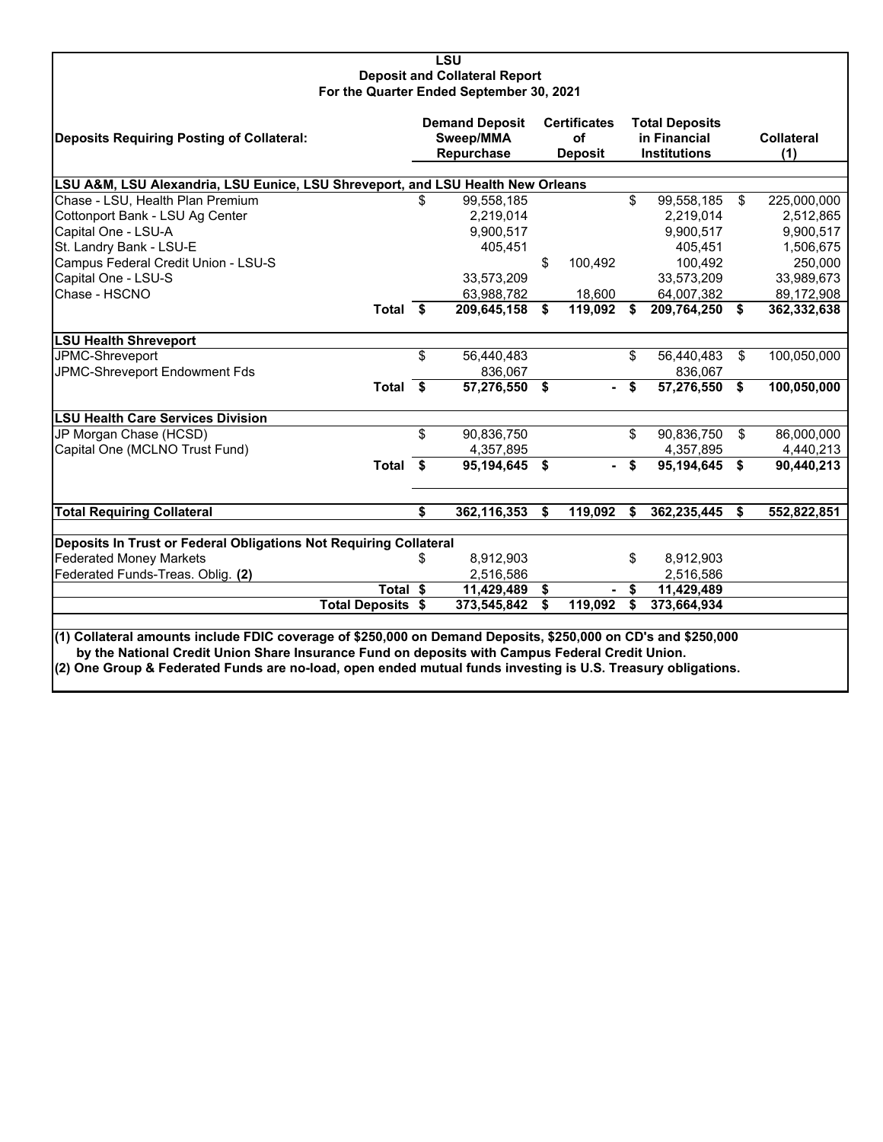#### **LSU Deposit and Collateral Report For the Quarter Ended September 30, 2021**

| Deposits Requiring Posting of Collateral:                                                                                                                                                                                                                                                                                        |    | <b>Demand Deposit</b><br>Sweep/MMA<br>Repurchase |    | <b>Certificates</b><br><b>of</b><br><b>Deposit</b> |    | <b>Total Deposits</b><br>in Financial<br><b>Institutions</b> |    | <b>Collateral</b><br>(1) |  |  |  |
|----------------------------------------------------------------------------------------------------------------------------------------------------------------------------------------------------------------------------------------------------------------------------------------------------------------------------------|----|--------------------------------------------------|----|----------------------------------------------------|----|--------------------------------------------------------------|----|--------------------------|--|--|--|
| LSU A&M, LSU Alexandria, LSU Eunice, LSU Shreveport, and LSU Health New Orleans                                                                                                                                                                                                                                                  |    |                                                  |    |                                                    |    |                                                              |    |                          |  |  |  |
| Chase - LSU, Health Plan Premium                                                                                                                                                                                                                                                                                                 |    | 99,558,185                                       |    |                                                    | \$ | 99,558,185                                                   | \$ | 225,000,000              |  |  |  |
| Cottonport Bank - LSU Ag Center                                                                                                                                                                                                                                                                                                  |    | 2,219,014                                        |    |                                                    |    | 2,219,014                                                    |    | 2,512,865                |  |  |  |
| Capital One - LSU-A                                                                                                                                                                                                                                                                                                              |    | 9,900,517                                        |    |                                                    |    | 9,900,517                                                    |    | 9,900,517                |  |  |  |
| St. Landry Bank - LSU-E                                                                                                                                                                                                                                                                                                          |    | 405,451                                          |    |                                                    |    | 405,451                                                      |    | 1,506,675                |  |  |  |
| Campus Federal Credit Union - LSU-S                                                                                                                                                                                                                                                                                              |    |                                                  | \$ | 100,492                                            |    | 100,492                                                      |    | 250,000                  |  |  |  |
| Capital One - LSU-S                                                                                                                                                                                                                                                                                                              |    | 33,573,209                                       |    |                                                    |    | 33,573,209                                                   |    | 33,989,673               |  |  |  |
| Chase - HSCNO                                                                                                                                                                                                                                                                                                                    |    | 63,988,782                                       |    | 18,600                                             |    | 64,007,382                                                   |    | 89,172,908               |  |  |  |
| Total \$                                                                                                                                                                                                                                                                                                                         |    | 209,645,158                                      | \$ | 119,092                                            | \$ | 209,764,250 \$                                               |    | 362,332,638              |  |  |  |
| <b>LSU Health Shreveport</b>                                                                                                                                                                                                                                                                                                     |    |                                                  |    |                                                    |    |                                                              |    |                          |  |  |  |
| JPMC-Shreveport                                                                                                                                                                                                                                                                                                                  | \$ | 56,440,483                                       |    |                                                    | \$ | 56,440,483                                                   | \$ | 100,050,000              |  |  |  |
| JPMC-Shreveport Endowment Fds                                                                                                                                                                                                                                                                                                    |    | 836,067                                          |    |                                                    |    | 836,067                                                      |    |                          |  |  |  |
| Total \$                                                                                                                                                                                                                                                                                                                         |    | 57,276,550                                       | \$ |                                                    | \$ | 57,276,550                                                   | \$ | 100,050,000              |  |  |  |
| <b>LSU Health Care Services Division</b>                                                                                                                                                                                                                                                                                         |    |                                                  |    |                                                    |    |                                                              |    |                          |  |  |  |
| JP Morgan Chase (HCSD)                                                                                                                                                                                                                                                                                                           | \$ | 90,836,750                                       |    |                                                    | \$ | 90,836,750                                                   | \$ | 86,000,000               |  |  |  |
| Capital One (MCLNO Trust Fund)                                                                                                                                                                                                                                                                                                   |    | 4,357,895                                        |    |                                                    |    | 4,357,895                                                    |    | 4,440,213                |  |  |  |
| Total \$                                                                                                                                                                                                                                                                                                                         |    | 95.194.645                                       | \$ |                                                    | \$ | 95,194,645                                                   | \$ | 90,440,213               |  |  |  |
| <b>Total Requiring Collateral</b>                                                                                                                                                                                                                                                                                                | \$ | 362,116,353                                      | \$ | 119,092                                            | \$ | 362,235,445                                                  | S  | 552,822,851              |  |  |  |
|                                                                                                                                                                                                                                                                                                                                  |    |                                                  |    |                                                    |    |                                                              |    |                          |  |  |  |
| Deposits In Trust or Federal Obligations Not Requiring Collateral                                                                                                                                                                                                                                                                |    |                                                  |    |                                                    |    |                                                              |    |                          |  |  |  |
| <b>Federated Money Markets</b>                                                                                                                                                                                                                                                                                                   | \$ | 8,912,903                                        |    |                                                    | \$ | 8,912,903                                                    |    |                          |  |  |  |
| Federated Funds-Treas. Oblig. (2)                                                                                                                                                                                                                                                                                                |    | 2,516,586                                        |    |                                                    |    | 2,516,586                                                    |    |                          |  |  |  |
| Total \$                                                                                                                                                                                                                                                                                                                         |    | 11,429,489                                       | \$ |                                                    | \$ | 11,429,489                                                   |    |                          |  |  |  |
| <b>Total Deposits \$</b>                                                                                                                                                                                                                                                                                                         |    | 373,545,842                                      | S. | 119,092                                            | \$ | 373,664,934                                                  |    |                          |  |  |  |
| (1) Collateral amounts include FDIC coverage of \$250,000 on Demand Deposits, \$250,000 on CD's and \$250,000<br>by the National Credit Union Share Insurance Fund on deposits with Campus Federal Credit Union.<br>(2) One Group & Federated Funds are no-load, open ended mutual funds investing is U.S. Treasury obligations. |    |                                                  |    |                                                    |    |                                                              |    |                          |  |  |  |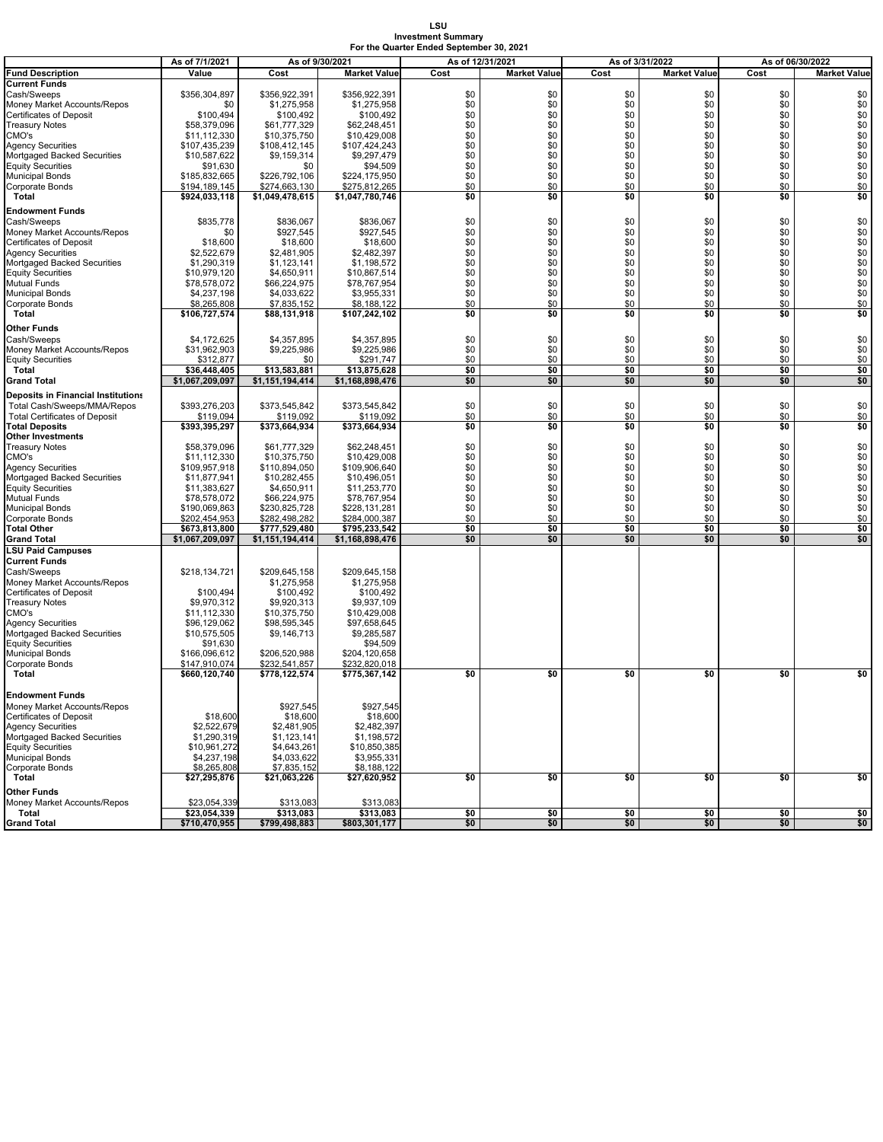# **LSU Investment Summary For the Quarter Ended September 30, 2021**

|                                      | As of 7/1/2021  | As of 9/30/2021 |                     | As of 12/31/2021 |                     | As of 3/31/2022 |                     |      |                     |  |
|--------------------------------------|-----------------|-----------------|---------------------|------------------|---------------------|-----------------|---------------------|------|---------------------|--|
|                                      |                 |                 |                     |                  |                     |                 |                     |      | As of 06/30/2022    |  |
| <b>Fund Description</b>              | Value           | Cost            | <b>Market Value</b> | Cost             | <b>Market Value</b> | Cost            | <b>Market Value</b> | Cost | <b>Market Value</b> |  |
| Current Funds                        |                 |                 |                     |                  |                     |                 |                     |      |                     |  |
| Cash/Sweeps                          | \$356.304.897   | \$356,922,391   | \$356,922,391       | \$0              | \$0                 | \$0             | \$0                 | \$0  | \$0                 |  |
| Money Market Accounts/Repos          | \$0             | \$1,275,958     | \$1,275,958         | \$0              | \$0                 | \$0             | \$0                 | \$0  | \$0                 |  |
| Certificates of Deposit              | \$100,494       | \$100,492       | \$100,492           | \$0              | \$0                 | \$0             | \$0                 | \$0  | \$0                 |  |
| <b>Treasury Notes</b>                | \$58,379,096    | \$61,777,329    | \$62,248,451        | \$0              | \$0                 | \$0             | \$0                 | \$0  | \$0                 |  |
| CMO's                                | \$11,112,330    | \$10,375,750    | \$10,429,008        | \$0              | \$0                 | \$0             | \$0                 | \$0  | \$0                 |  |
|                                      | \$107,435,239   | \$108,412,145   | \$107,424,243       | \$0              | \$0                 | \$0             | \$0                 | \$0  | \$0                 |  |
| Agency Securities                    |                 |                 |                     |                  |                     |                 |                     |      |                     |  |
| Mortgaged Backed Securities          | \$10,587,622    | \$9,159,314     | \$9,297,479         | \$0              | \$0                 | \$0             | \$0                 | \$0  | \$0                 |  |
| <b>Equity Securities</b>             | \$91,630        | \$0             | \$94,509            | \$0              | \$0                 | \$0             | \$0                 | \$0  | \$0                 |  |
| Municipal Bonds                      | \$185,832,665   | \$226,792,106   | \$224,175,950       | \$0              | \$0                 | \$0             | \$0                 | \$0  | \$0                 |  |
| Corporate Bonds                      | \$194,189,145   | \$274,663,130   | \$275,812,265       | \$0              | \$0                 | \$0             | \$0                 | \$0  | \$0                 |  |
| Total                                | \$924,033,118   | \$1,049,478,615 | \$1,047,780,746     | \$0              | \$0                 | \$0             | \$0                 | \$0  | \$0                 |  |
|                                      |                 |                 |                     |                  |                     |                 |                     |      |                     |  |
| Endowment Funds                      |                 |                 |                     |                  |                     |                 |                     |      |                     |  |
| Cash/Sweeps                          | \$835,778       | \$836,067       | \$836,067           | \$0              | \$0                 | \$0             | \$0                 | \$0  | \$0                 |  |
| Money Market Accounts/Repos          | \$0             | \$927,545       | \$927,545           | \$0              | \$0                 | \$0             | \$0                 | \$0  | \$0                 |  |
| Certificates of Deposit              | \$18,600        | \$18,600        | \$18,600            | \$0              | \$0                 | \$0             | \$0                 | \$0  | \$0                 |  |
| Agency Securities                    | \$2,522,679     | \$2,481.905     | \$2,482,397         | \$0              | \$0                 | \$0             | \$0                 | \$0  | \$0                 |  |
| Mortgaged Backed Securities          | \$1,290,319     | \$1,123,141     | \$1,198,572         | \$0              | \$0                 | \$0             | \$0                 | \$0  | \$0                 |  |
|                                      |                 |                 |                     |                  |                     |                 |                     |      |                     |  |
| <b>Equity Securities</b>             | \$10,979,120    | \$4,650,911     | \$10,867,514        | \$0              | \$0                 | \$0             | \$0                 | \$0  | \$0                 |  |
| Mutual Funds                         | \$78,578,072    | \$66,224,975    | \$78,767,954        | \$0              | \$0                 | \$0             | \$0                 | \$0  | \$0                 |  |
| Municipal Bonds                      | \$4,237,198     | \$4,033,622     | \$3,955,331         | \$0              | \$0                 | \$0             | \$0                 | \$0  | \$0                 |  |
| Corporate Bonds                      | \$8,265,808     | \$7,835,152     | \$8,188,122         | \$0              | \$0                 | \$0             | \$0                 | \$0  | \$0                 |  |
| Total                                | \$106,727,574   | \$88,131,918    | \$107,242,102       | \$0              | \$0                 | \$0             | \$0                 | \$0  | \$0                 |  |
|                                      |                 |                 |                     |                  |                     |                 |                     |      |                     |  |
| Other Funds                          |                 |                 |                     |                  |                     |                 |                     |      |                     |  |
| Cash/Sweeps                          | \$4,172,625     | \$4,357,895     | \$4,357,895         | \$0              | \$0                 | \$0             | \$0                 | \$0  | \$0                 |  |
| Money Market Accounts/Repos          | \$31.962.903    | \$9,225,986     | \$9,225,986         | \$0              | \$0                 | \$0             | \$0                 | \$0  | \$0                 |  |
| <b>Equity Securities</b>             | \$312,877       | \$0             | \$291,747           | \$0              | \$0                 | \$0             | \$0                 | \$0  | \$0                 |  |
| Total                                | \$36,448,405    | \$13,583,881    | \$13,875,628        | \$0              | \$0                 | \$0             | \$0                 | \$0  | \$0                 |  |
| Grand Total                          | \$1,067,209,097 | \$1,151,194,414 | \$1,168,898,476     | \$0              | \$0                 | \$0             | \$0                 | \$0  | \$0                 |  |
|                                      |                 |                 |                     |                  |                     |                 |                     |      |                     |  |
| Deposits in Financial Institutions   |                 |                 |                     |                  |                     |                 |                     |      |                     |  |
| Total Cash/Sweeps/MMA/Repos          | \$393,276,203   | \$373,545,842   | \$373,545,842       | \$0              | \$0                 | \$0             | \$0                 | \$0  | \$0                 |  |
| <b>Total Certificates of Deposit</b> | \$119,094       | \$119,092       | \$119,092           | \$0              | \$0                 | \$0             | \$0                 | \$0  | \$0                 |  |
| <b>Total Deposits</b>                | \$393,395,297   | \$373,664,934   | \$373,664,934       | \$0              | \$0                 | \$0             | \$0                 | \$0  | \$0                 |  |
|                                      |                 |                 |                     |                  |                     |                 |                     |      |                     |  |
| Other Investments                    |                 |                 |                     |                  |                     |                 |                     |      |                     |  |
| <b>Treasury Notes</b>                | \$58,379,096    | \$61,777,329    | \$62,248,451        | \$0              | \$0                 | \$0             | \$0                 | \$0  | \$0                 |  |
| CMO's                                | \$11,112,330    | \$10,375,750    | \$10,429,008        | \$0              | \$0                 | \$0             | \$0                 | \$0  | \$0                 |  |
| <b>Agency Securities</b>             | \$109,957,918   | \$110,894,050   | \$109,906,640       | \$0              | \$0                 | \$0             | \$0                 | \$0  | \$0                 |  |
| Mortgaged Backed Securities          | \$11,877,941    | \$10,282,455    | \$10,496,051        | \$0              | \$0                 | \$0             | \$0                 | \$0  | \$0                 |  |
| <b>Equity Securities</b>             | \$11,383,627    | \$4,650,911     | \$11,253,770        | \$0              | \$0                 | \$0             | \$0                 | \$0  | \$0                 |  |
| Mutual Funds                         |                 | \$66,224,975    | \$78,767,954        | \$0              | \$0                 | \$0             | \$0                 | \$0  | \$0                 |  |
|                                      | \$78,578,072    |                 |                     |                  |                     |                 |                     |      |                     |  |
| <b>Municipal Bonds</b>               | \$190,069,863   | \$230,825,728   | \$228,131,281       | \$0              | \$0                 | \$0             | \$0                 | \$0  | \$0                 |  |
| Corporate Bonds                      | \$202,454,953   | \$282,498,282   | \$284,000,387       | \$0              | \$0                 | \$0             | \$0                 | \$0  | \$0                 |  |
| <b>Total Other</b>                   | \$673,813,800   | \$777,529,480   | \$795,233,542       | \$0              | \$0                 | \$0             | \$0                 | \$0  | \$0                 |  |
| <b>Grand Total</b>                   | \$1,067,209,097 | \$1,151,194,414 | \$1,168,898,476     | \$0              | \$0                 | \$0             | \$0                 | \$0  | \$0                 |  |
| <b>LSU Paid Campuses</b>             |                 |                 |                     |                  |                     |                 |                     |      |                     |  |
| <b>Current Funds</b>                 |                 |                 |                     |                  |                     |                 |                     |      |                     |  |
|                                      |                 |                 |                     |                  |                     |                 |                     |      |                     |  |
| Cash/Sweeps                          | \$218,134,721   | \$209,645,158   | \$209,645,158       |                  |                     |                 |                     |      |                     |  |
| Money Market Accounts/Repos          |                 | \$1,275,958     | \$1,275,958         |                  |                     |                 |                     |      |                     |  |
| Certificates of Deposit              | \$100,494       | \$100,492       | \$100,492           |                  |                     |                 |                     |      |                     |  |
| Treasury Notes                       | \$9,970,312     | \$9,920,313     | \$9,937,109         |                  |                     |                 |                     |      |                     |  |
| CMO's                                | \$11,112,330    | \$10,375,750    | \$10,429,008        |                  |                     |                 |                     |      |                     |  |
| <b>Agency Securities</b>             | \$96,129,062    | \$98,595,345    | \$97,658,645        |                  |                     |                 |                     |      |                     |  |
| Mortgaged Backed Securities          | \$10,575,505    | \$9,146,713     | \$9,285,587         |                  |                     |                 |                     |      |                     |  |
| <b>Equity Securities</b>             | \$91,630        |                 | \$94.509            |                  |                     |                 |                     |      |                     |  |
|                                      |                 | \$206,520,988   |                     |                  |                     |                 |                     |      |                     |  |
| <b>Municipal Bonds</b>               | \$166,096,612   |                 | \$204,120,658       |                  |                     |                 |                     |      |                     |  |
| Corporate Bonds                      | \$147.910.074   | \$232,541,857   | \$232,820,018       |                  |                     |                 |                     |      |                     |  |
| Total                                | \$660,120,740   | \$778,122,574   | \$775,367,142       | \$0              | \$0                 | \$0             | \$0                 | \$0  | \$0                 |  |
|                                      |                 |                 |                     |                  |                     |                 |                     |      |                     |  |
| Endowment Funds                      |                 |                 |                     |                  |                     |                 |                     |      |                     |  |
| Money Market Accounts/Repos          |                 | \$927,545       | \$927,545           |                  |                     |                 |                     |      |                     |  |
| Certificates of Deposit              | \$18,600        | \$18,600        | \$18,600            |                  |                     |                 |                     |      |                     |  |
|                                      |                 |                 |                     |                  |                     |                 |                     |      |                     |  |
| Agency Securities                    | \$2,522,679     | \$2,481,905     | \$2,482,397         |                  |                     |                 |                     |      |                     |  |
| Mortgaged Backed Securities          | \$1,290,319     | \$1,123,141     | \$1,198,572         |                  |                     |                 |                     |      |                     |  |
| <b>Equity Securities</b>             | \$10,961,272    | \$4,643,261     | \$10,850,385        |                  |                     |                 |                     |      |                     |  |
| <b>Municipal Bonds</b>               | \$4,237,198     | \$4,033,622     | \$3,955,331         |                  |                     |                 |                     |      |                     |  |
| Corporate Bonds                      | \$8,265,808     | \$7,835,152     | \$8,188,122         |                  |                     |                 |                     |      |                     |  |
| Total                                | \$27,295,876    | \$21,063,226    | \$27,620,952        | \$0              | \$0                 | \$0             | \$0                 | \$0  | \$0                 |  |
|                                      |                 |                 |                     |                  |                     |                 |                     |      |                     |  |
| Other Funds                          |                 |                 |                     |                  |                     |                 |                     |      |                     |  |
| Money Market Accounts/Repos          | \$23,054,339    | \$313,083       | \$313,083           |                  |                     |                 |                     |      |                     |  |
| Total                                | \$23,054,339    | \$313,083       | \$313,083           | \$0              | \$0                 | \$0             | \$0                 | \$0  | \$0                 |  |
| Grand Total                          | \$710,470,955   | \$799,498,883   | \$803,301,177       | \$0              | \$0                 | \$0             | \$0                 | \$0  | \$0                 |  |
|                                      |                 |                 |                     |                  |                     |                 |                     |      |                     |  |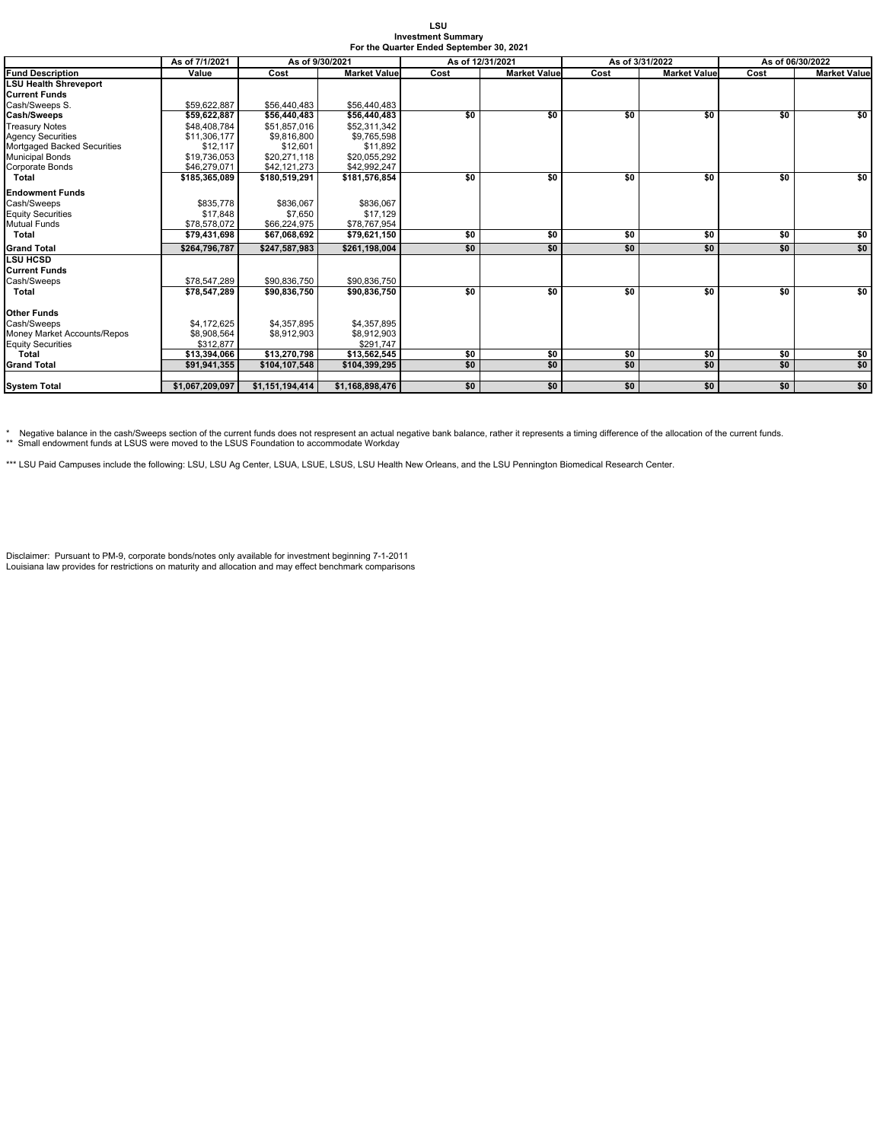| LSU                                      |
|------------------------------------------|
| <b>Investment Summary</b>                |
| For the Quarter Ended September 30, 2021 |

|                              | As of 7/1/2021  |                 | As of 12/31/2021<br>As of 9/30/2021 |      |                     | As of 3/31/2022 | As of 06/30/2022    |      |                     |
|------------------------------|-----------------|-----------------|-------------------------------------|------|---------------------|-----------------|---------------------|------|---------------------|
| <b>Fund Description</b>      | Value           | Cost            | <b>Market Value</b>                 | Cost | <b>Market Value</b> | Cost            | <b>Market Value</b> | Cost | <b>Market Value</b> |
| <b>LSU Health Shreveport</b> |                 |                 |                                     |      |                     |                 |                     |      |                     |
| <b>Current Funds</b>         |                 |                 |                                     |      |                     |                 |                     |      |                     |
| Cash/Sweeps S.               | \$59,622.887    | \$56,440,483    | \$56,440,483                        |      |                     |                 |                     |      |                     |
| <b>Cash/Sweeps</b>           | \$59,622,887    | \$56,440,483    | \$56,440,483                        | \$0  | \$0                 | \$0             | \$0                 | \$0  | \$0                 |
| <b>Treasury Notes</b>        | \$48,408,784    | \$51,857,016    | \$52,311,342                        |      |                     |                 |                     |      |                     |
| <b>Agency Securities</b>     | \$11,306,177    | \$9,816,800     | \$9,765,598                         |      |                     |                 |                     |      |                     |
| Mortgaged Backed Securities  | \$12.117        | \$12,601        | \$11,892                            |      |                     |                 |                     |      |                     |
| <b>Municipal Bonds</b>       | \$19,736,053    | \$20,271,118    | \$20,055,292                        |      |                     |                 |                     |      |                     |
| <b>Corporate Bonds</b>       | \$46,279,071    | \$42,121,273    | \$42.992.247                        |      |                     |                 |                     |      |                     |
| <b>Total</b>                 | \$185,365,089   | \$180.519.291   | \$181,576,854                       | \$0  | \$0                 | \$0             | \$0                 | \$0  | \$0                 |
| <b>Endowment Funds</b>       |                 |                 |                                     |      |                     |                 |                     |      |                     |
| Cash/Sweeps                  | \$835,778       | \$836,067       | \$836,067                           |      |                     |                 |                     |      |                     |
| <b>Equity Securities</b>     | \$17.848        | \$7,650         | \$17,129                            |      |                     |                 |                     |      |                     |
| <b>Mutual Funds</b>          | \$78,578,072    | \$66,224,975    | \$78,767,954                        |      |                     |                 |                     |      |                     |
| Total                        | \$79,431,698    | \$67,068,692    | \$79,621,150                        | \$0  | \$0                 | \$0             | \$0                 | \$0  | \$0                 |
| <b>Grand Total</b>           | \$264.796.787   | \$247.587.983   | \$261.198.004                       | \$0  | \$0                 | \$0             | \$0                 | \$0  | \$0                 |
| <b>LSU HCSD</b>              |                 |                 |                                     |      |                     |                 |                     |      |                     |
| <b>Current Funds</b>         |                 |                 |                                     |      |                     |                 |                     |      |                     |
| Cash/Sweeps                  | \$78,547,289    | \$90,836,750    | \$90,836,750                        |      |                     |                 |                     |      |                     |
| <b>Total</b>                 | \$78,547,289    | \$90,836,750    | \$90,836,750                        | \$0  | \$0                 | \$0             | \$0                 | \$0  | \$0                 |
| <b>Other Funds</b>           |                 |                 |                                     |      |                     |                 |                     |      |                     |
| Cash/Sweeps                  | \$4,172,625     | \$4,357,895     | \$4,357,895                         |      |                     |                 |                     |      |                     |
| Money Market Accounts/Repos  | \$8.908.564     | \$8,912,903     | \$8,912,903                         |      |                     |                 |                     |      |                     |
| <b>Equity Securities</b>     | \$312,877       |                 | \$291,747                           |      |                     |                 |                     |      |                     |
| Total                        | \$13,394,066    | \$13,270,798    | \$13,562,545                        | \$0  | \$0                 | \$0             | \$0                 | \$0  | \$0                 |
| <b>Grand Total</b>           | \$91,941,355    | \$104,107,548   | \$104,399,295                       | \$0  | \$0                 | \$0             | \$0                 | \$0  | \$0                 |
|                              |                 |                 |                                     |      |                     |                 |                     |      |                     |
| <b>System Total</b>          | \$1,067,209,097 | \$1,151,194,414 | \$1,168,898,476                     | \$0  | \$0                 | \$0             | \$0                 | \$0  | \$0                 |

\* Negative balance in the cash/Sweeps section of the current funds does not respresent an actual negative bank balance, rather it represents a timing difference of the allocation of the current funds.<br>\*\* Small endowment fu

\*\*\* LSU Paid Campuses include the following: LSU, LSU Ag Center, LSUA, LSUE, LSUS, LSU Health New Orleans, and the LSU Pennington Biomedical Research Center.

Disclaimer: Pursuant to PM-9, corporate bonds/notes only available for investment beginning 7-1-2011 Louisiana law provides for restrictions on maturity and allocation and may effect benchmark comparisons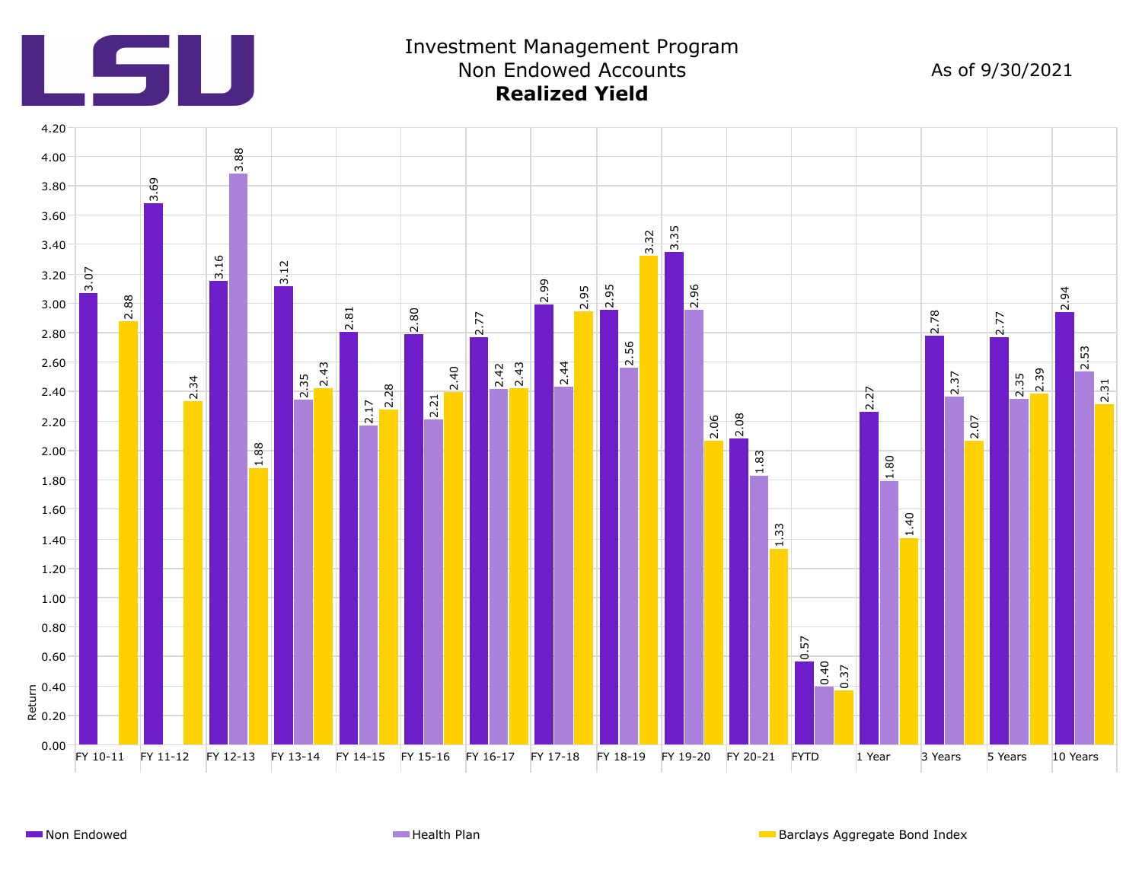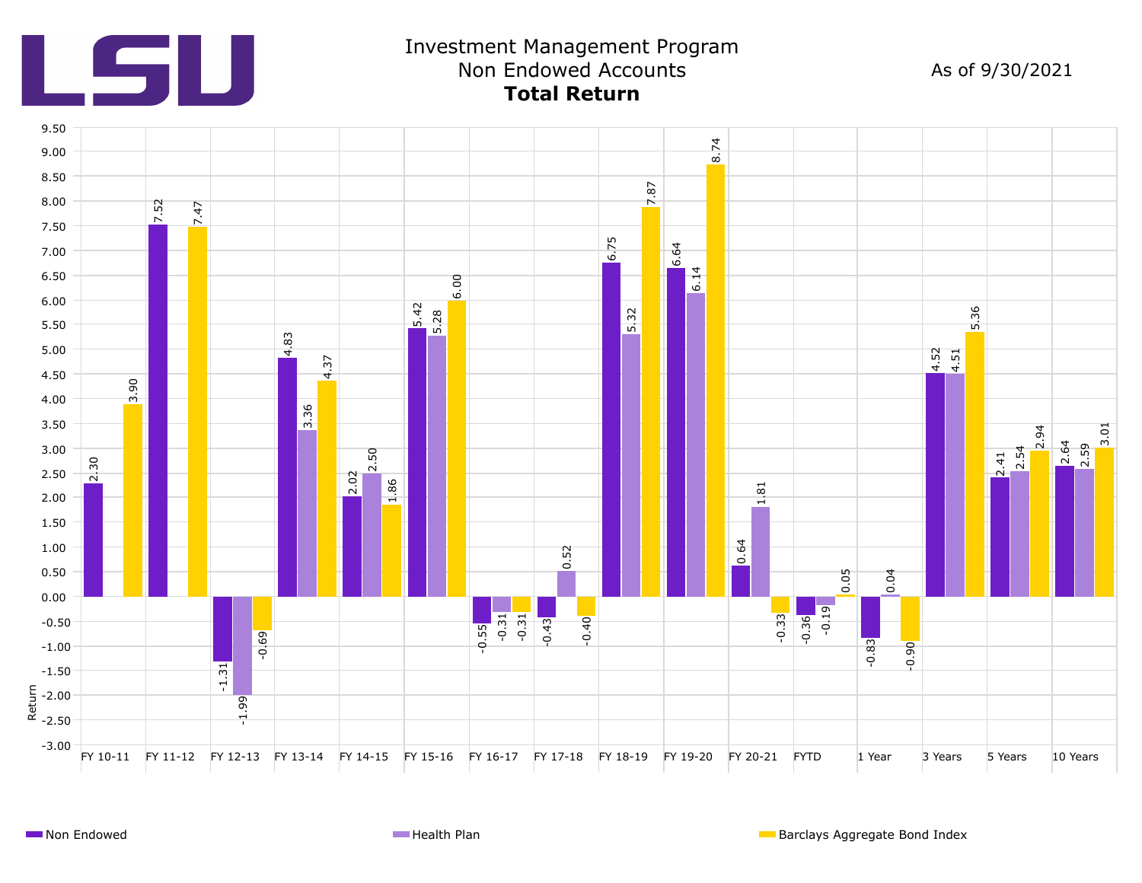

## Investment Management Program Non Endowed Accounts **Total Return**

As of 9/30/2021

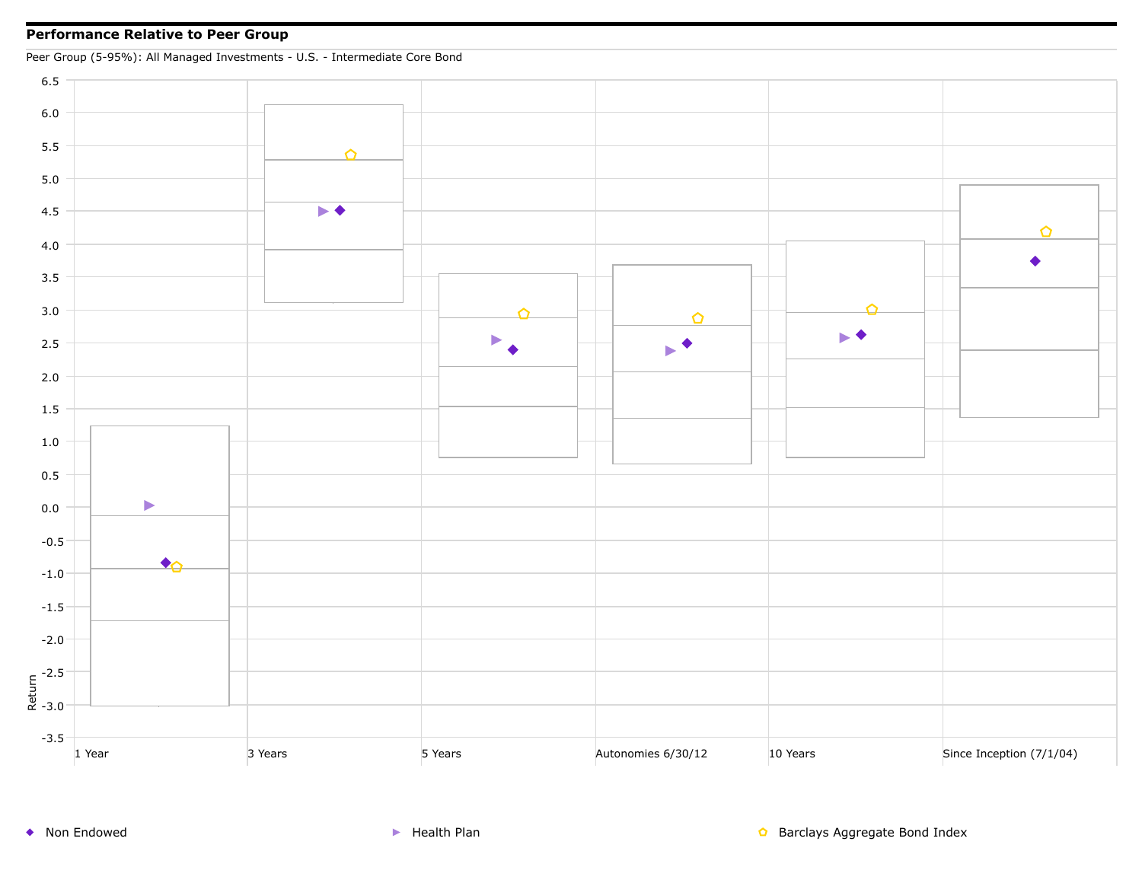### **Performance Relative to Peer Group**

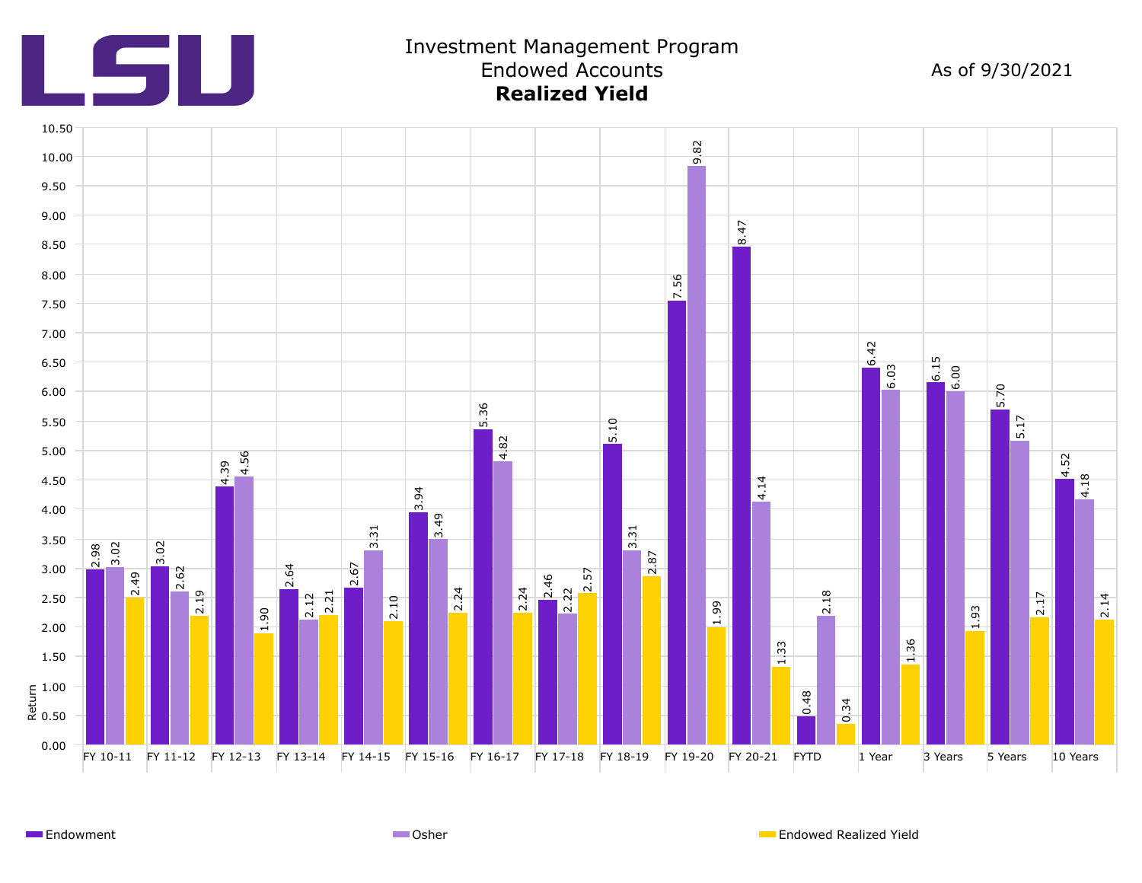

## Investment Management Program Endowed Accounts **Realized Yield**

As of 9/30/2021



Endowment Osher Endowed Realized Yield